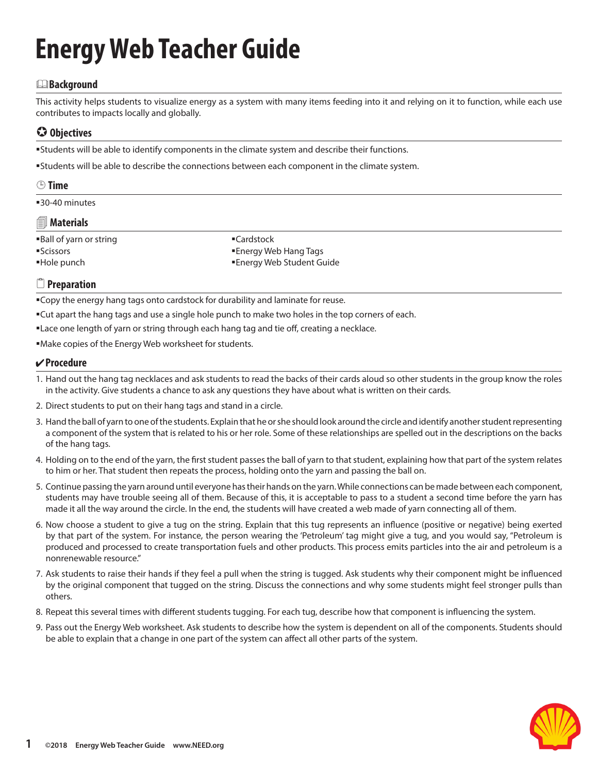# **Energy Web Teacher Guide**

#### &**Background**

This activity helps students to visualize energy as a system with many items feeding into it and relying on it to function, while each use contributes to impacts locally and globally.

### **Objectives**

Students will be able to identify components in the climate system and describe their functions.

Students will be able to describe the connections between each component in the climate system.

#### **Time**

30-40 minutes

#### **Materials**

Ball of yarn or string Scissors Hole punch

■Cardstock Energy Web Hang Tags Energy Web Student Guide

#### 2 **Preparation**

**Copy the energy hang tags onto cardstock for durability and laminate for reuse.** 

- Cut apart the hang tags and use a single hole punch to make two holes in the top corners of each.
- Lace one length of yarn or string through each hang tag and tie off, creating a necklace.

Make copies of the Energy Web worksheet for students.

#### **Procedure**

- 1. Hand out the hang tag necklaces and ask students to read the backs of their cards aloud so other students in the group know the roles in the activity. Give students a chance to ask any questions they have about what is written on their cards.
- 2. Direct students to put on their hang tags and stand in a circle.
- 3. Hand the ball of yarn to one of the students. Explain that he or she should look around the circle and identify another student representing a component of the system that is related to his or her role. Some of these relationships are spelled out in the descriptions on the backs of the hang tags.
- 4. Holding on to the end of the yarn, the first student passes the ball of yarn to that student, explaining how that part of the system relates to him or her. That student then repeats the process, holding onto the yarn and passing the ball on.
- 5. Continue passing the yarn around until everyone has their hands on the yarn. While connections can be made between each component, students may have trouble seeing all of them. Because of this, it is acceptable to pass to a student a second time before the yarn has made it all the way around the circle. In the end, the students will have created a web made of yarn connecting all of them.
- 6. Now choose a student to give a tug on the string. Explain that this tug represents an influence (positive or negative) being exerted by that part of the system. For instance, the person wearing the 'Petroleum' tag might give a tug, and you would say, "Petroleum is produced and processed to create transportation fuels and other products. This process emits particles into the air and petroleum is a nonrenewable resource."
- 7. Ask students to raise their hands if they feel a pull when the string is tugged. Ask students why their component might be influenced by the original component that tugged on the string. Discuss the connections and why some students might feel stronger pulls than others.
- 8. Repeat this several times with different students tugging. For each tug, describe how that component is influencing the system.
- 9. Pass out the Energy Web worksheet. Ask students to describe how the system is dependent on all of the components. Students should be able to explain that a change in one part of the system can affect all other parts of the system.

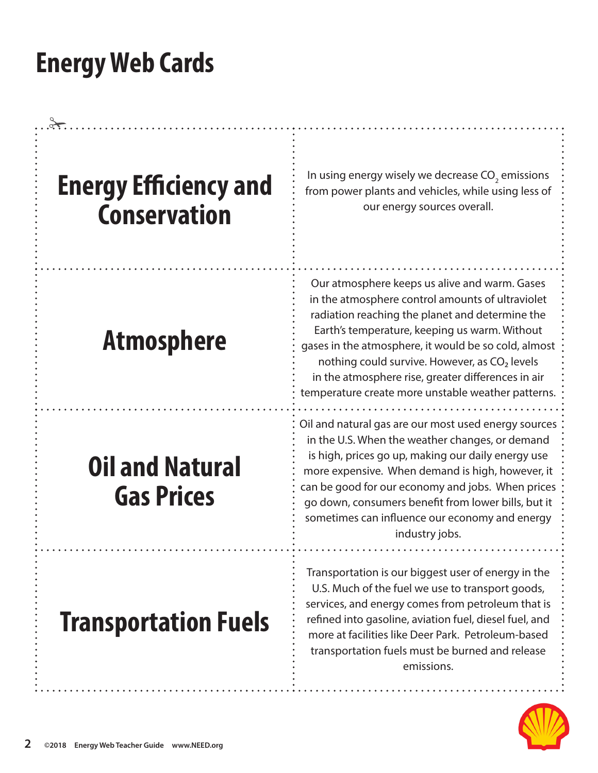| <b>Energy Efficiency and</b><br><b>Conservation</b> | In using energy wisely we decrease $CO2$ emissions<br>from power plants and vehicles, while using less of<br>our energy sources overall.                                                                                                                                                                                                                                                                                               |
|-----------------------------------------------------|----------------------------------------------------------------------------------------------------------------------------------------------------------------------------------------------------------------------------------------------------------------------------------------------------------------------------------------------------------------------------------------------------------------------------------------|
| <b>Atmosphere</b>                                   | Our atmosphere keeps us alive and warm. Gases<br>in the atmosphere control amounts of ultraviolet<br>radiation reaching the planet and determine the<br>Earth's temperature, keeping us warm. Without<br>gases in the atmosphere, it would be so cold, almost<br>nothing could survive. However, as CO <sub>2</sub> levels<br>in the atmosphere rise, greater differences in air<br>temperature create more unstable weather patterns. |
| <b>Oil and Natural</b><br><b>Gas Prices</b>         | Oil and natural gas are our most used energy sources<br>in the U.S. When the weather changes, or demand<br>is high, prices go up, making our daily energy use<br>more expensive. When demand is high, however, it<br>can be good for our economy and jobs. When prices<br>go down, consumers benefit from lower bills, but it<br>sometimes can influence our economy and energy<br>industry jobs.                                      |
| <b>Transportation Fuels</b>                         | Transportation is our biggest user of energy in the<br>U.S. Much of the fuel we use to transport goods,<br>services, and energy comes from petroleum that is<br>refined into gasoline, aviation fuel, diesel fuel, and<br>more at facilities like Deer Park. Petroleum-based<br>transportation fuels must be burned and release<br>emissions.                                                                                          |

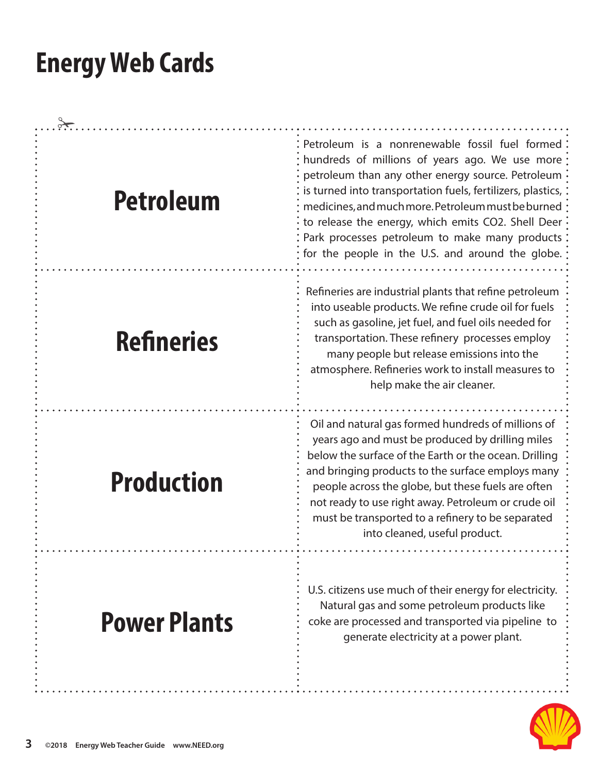| <b>Petroleum</b>    | Petroleum is a nonrenewable fossil fuel formed<br>hundreds of millions of years ago. We use more<br>petroleum than any other energy source. Petroleum<br>is turned into transportation fuels, fertilizers, plastics,<br>medicines, and much more. Petroleum must be burned<br>to release the energy, which emits CO2. Shell Deer<br>Park processes petroleum to make many products:<br>for the people in the U.S. and around the globe. |
|---------------------|-----------------------------------------------------------------------------------------------------------------------------------------------------------------------------------------------------------------------------------------------------------------------------------------------------------------------------------------------------------------------------------------------------------------------------------------|
| <b>Refineries</b>   | Refineries are industrial plants that refine petroleum<br>into useable products. We refine crude oil for fuels<br>such as gasoline, jet fuel, and fuel oils needed for<br>transportation. These refinery processes employ<br>many people but release emissions into the<br>atmosphere. Refineries work to install measures to<br>help make the air cleaner.                                                                             |
| <b>Production</b>   | Oil and natural gas formed hundreds of millions of<br>years ago and must be produced by drilling miles<br>below the surface of the Earth or the ocean. Drilling<br>and bringing products to the surface employs many<br>people across the globe, but these fuels are often<br>not ready to use right away. Petroleum or crude oil<br>must be transported to a refinery to be separated<br>into cleaned, useful product.                 |
| <b>Power Plants</b> | U.S. citizens use much of their energy for electricity.<br>Natural gas and some petroleum products like<br>coke are processed and transported via pipeline to<br>generate electricity at a power plant.                                                                                                                                                                                                                                 |

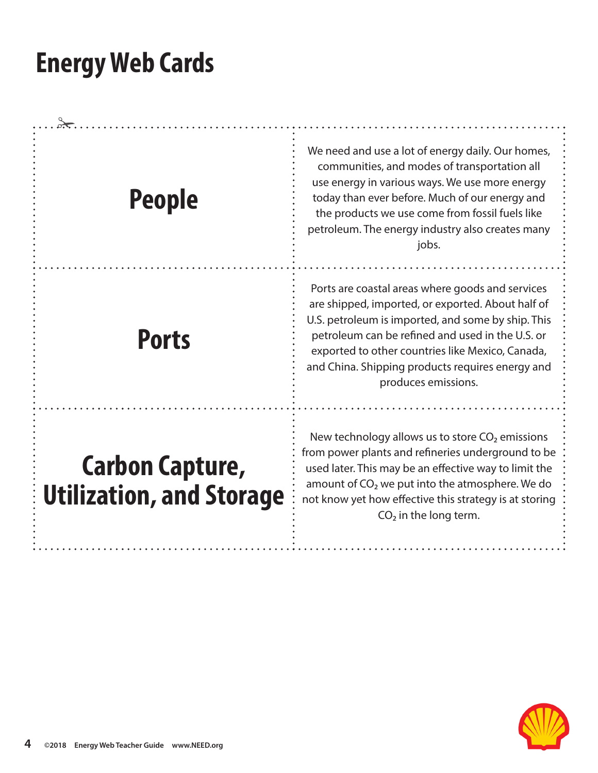| <b>People</b>                                             | We need and use a lot of energy daily. Our homes,<br>communities, and modes of transportation all<br>use energy in various ways. We use more energy<br>today than ever before. Much of our energy and<br>the products we use come from fossil fuels like<br>petroleum. The energy industry also creates many<br>jobs.                          |
|-----------------------------------------------------------|------------------------------------------------------------------------------------------------------------------------------------------------------------------------------------------------------------------------------------------------------------------------------------------------------------------------------------------------|
| <b>Ports</b>                                              | Ports are coastal areas where goods and services<br>are shipped, imported, or exported. About half of<br>U.S. petroleum is imported, and some by ship. This<br>petroleum can be refined and used in the U.S. or<br>exported to other countries like Mexico, Canada,<br>and China. Shipping products requires energy and<br>produces emissions. |
| <b>Carbon Capture,</b><br><b>Utilization, and Storage</b> | New technology allows us to store $CO2$ emissions<br>from power plants and refineries underground to be<br>used later. This may be an effective way to limit the<br>amount of CO <sub>2</sub> we put into the atmosphere. We do<br>not know yet how effective this strategy is at storing<br>$CO2$ in the long term.                           |

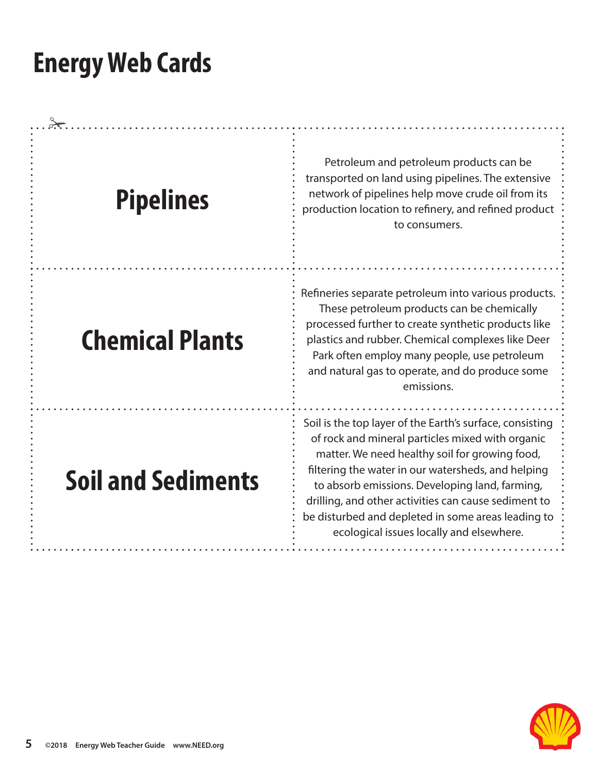| <b>Pipelines</b>          | Petroleum and petroleum products can be<br>transported on land using pipelines. The extensive<br>network of pipelines help move crude oil from its<br>production location to refinery, and refined product<br>to consumers.                                                                                                                                                                                                      |
|---------------------------|----------------------------------------------------------------------------------------------------------------------------------------------------------------------------------------------------------------------------------------------------------------------------------------------------------------------------------------------------------------------------------------------------------------------------------|
| <b>Chemical Plants</b>    | Refineries separate petroleum into various products.<br>These petroleum products can be chemically<br>processed further to create synthetic products like<br>plastics and rubber. Chemical complexes like Deer<br>Park often employ many people, use petroleum<br>and natural gas to operate, and do produce some<br>emissions.                                                                                                  |
| <b>Soil and Sediments</b> | Soil is the top layer of the Earth's surface, consisting<br>of rock and mineral particles mixed with organic<br>matter. We need healthy soil for growing food,<br>filtering the water in our watersheds, and helping<br>to absorb emissions. Developing land, farming,<br>drilling, and other activities can cause sediment to<br>be disturbed and depleted in some areas leading to<br>ecological issues locally and elsewhere. |